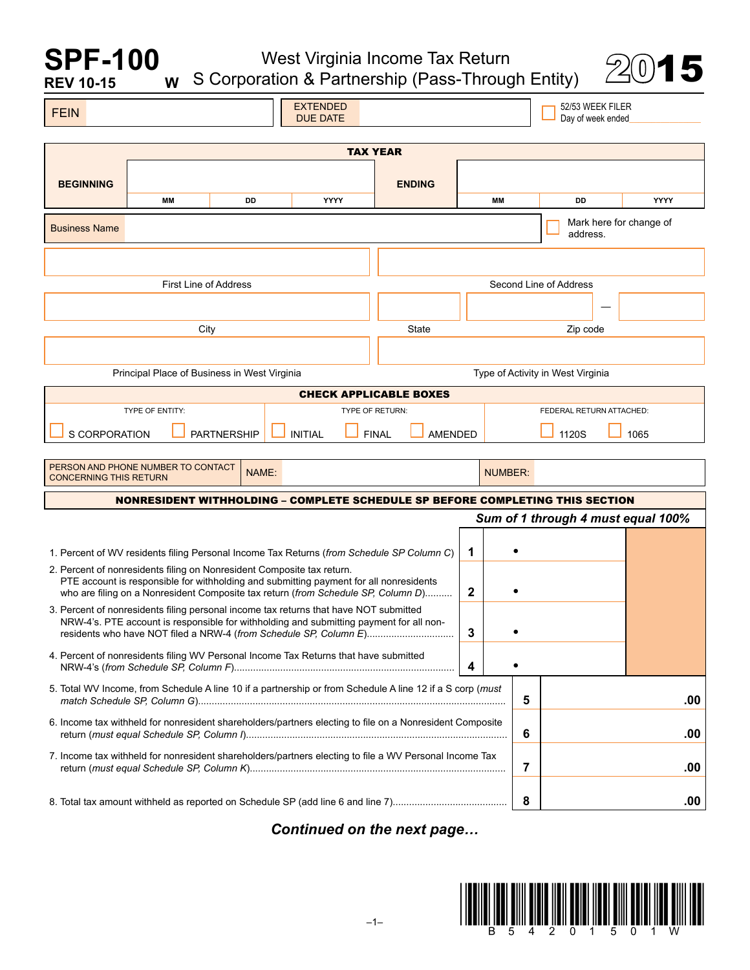# West Virginia Income Tax Return S Corporation & Partnership (Pass-Through Entity) 2015

**SPF-100**

| <b>REV 10-15</b>                                                                                          | W                                                                                                                                                         |       | S Corporation & Partnership (Pass-Through Entity)                                                                                                                                |                               |              |                                   |                        |                                       | コー                                 |
|-----------------------------------------------------------------------------------------------------------|-----------------------------------------------------------------------------------------------------------------------------------------------------------|-------|----------------------------------------------------------------------------------------------------------------------------------------------------------------------------------|-------------------------------|--------------|-----------------------------------|------------------------|---------------------------------------|------------------------------------|
| <b>FEIN</b>                                                                                               |                                                                                                                                                           |       | <b>EXTENDED</b><br><b>DUE DATE</b>                                                                                                                                               |                               |              |                                   |                        | 52/53 WEEK FILER<br>Day of week ended |                                    |
|                                                                                                           |                                                                                                                                                           |       |                                                                                                                                                                                  |                               |              |                                   |                        |                                       |                                    |
|                                                                                                           |                                                                                                                                                           |       |                                                                                                                                                                                  | <b>TAX YEAR</b>               |              |                                   |                        |                                       |                                    |
| <b>BEGINNING</b>                                                                                          |                                                                                                                                                           |       |                                                                                                                                                                                  | <b>ENDING</b>                 |              |                                   |                        |                                       |                                    |
|                                                                                                           | MМ                                                                                                                                                        | DD    | YYYY                                                                                                                                                                             |                               |              | MM                                | DD                     |                                       | <b>YYYY</b>                        |
| <b>Business Name</b>                                                                                      |                                                                                                                                                           |       |                                                                                                                                                                                  |                               |              |                                   | address.               |                                       | Mark here for change of            |
|                                                                                                           |                                                                                                                                                           |       |                                                                                                                                                                                  |                               |              |                                   |                        |                                       |                                    |
|                                                                                                           | <b>First Line of Address</b>                                                                                                                              |       |                                                                                                                                                                                  |                               |              |                                   | Second Line of Address |                                       |                                    |
|                                                                                                           |                                                                                                                                                           |       |                                                                                                                                                                                  |                               |              |                                   |                        |                                       |                                    |
|                                                                                                           |                                                                                                                                                           |       |                                                                                                                                                                                  |                               |              |                                   |                        |                                       |                                    |
|                                                                                                           | City                                                                                                                                                      |       |                                                                                                                                                                                  | State                         |              |                                   | Zip code               |                                       |                                    |
|                                                                                                           |                                                                                                                                                           |       |                                                                                                                                                                                  |                               |              |                                   |                        |                                       |                                    |
|                                                                                                           | Principal Place of Business in West Virginia                                                                                                              |       |                                                                                                                                                                                  |                               |              | Type of Activity in West Virginia |                        |                                       |                                    |
|                                                                                                           |                                                                                                                                                           |       |                                                                                                                                                                                  | <b>CHECK APPLICABLE BOXES</b> |              |                                   |                        |                                       |                                    |
| TYPE OF ENTITY:                                                                                           |                                                                                                                                                           |       | TYPE OF RETURN:                                                                                                                                                                  | FEDERAL RETURN ATTACHED:      |              |                                   |                        |                                       |                                    |
|                                                                                                           | <b>INITIAL</b><br>S CORPORATION<br><b>PARTNERSHIP</b><br><b>FINAL</b><br><b>AMENDED</b><br>1120S<br>1065                                                  |       |                                                                                                                                                                                  |                               |              |                                   |                        |                                       |                                    |
|                                                                                                           | PERSON AND PHONE NUMBER TO CONTACT                                                                                                                        |       |                                                                                                                                                                                  |                               |              |                                   |                        |                                       |                                    |
| <b>CONCERNING THIS RETURN</b>                                                                             |                                                                                                                                                           | NAME: |                                                                                                                                                                                  |                               |              | <b>NUMBER:</b>                    |                        |                                       |                                    |
|                                                                                                           |                                                                                                                                                           |       | NONRESIDENT WITHHOLDING – COMPLETE SCHEDULE SP BEFORE COMPLETING THIS SECTION                                                                                                    |                               |              |                                   |                        |                                       |                                    |
|                                                                                                           |                                                                                                                                                           |       |                                                                                                                                                                                  |                               |              |                                   |                        |                                       | Sum of 1 through 4 must equal 100% |
|                                                                                                           |                                                                                                                                                           |       |                                                                                                                                                                                  |                               |              |                                   |                        |                                       |                                    |
|                                                                                                           | 2. Percent of nonresidents filing on Nonresident Composite tax return.                                                                                    |       | 1. Percent of WV residents filing Personal Income Tax Returns (from Schedule SP Column C)                                                                                        |                               | 1            |                                   |                        |                                       |                                    |
|                                                                                                           |                                                                                                                                                           |       | PTE account is responsible for withholding and submitting payment for all nonresidents<br>who are filing on a Nonresident Composite tax return (from Schedule SP, Column D)      |                               | $\mathbf{2}$ |                                   |                        |                                       |                                    |
|                                                                                                           |                                                                                                                                                           |       | 3. Percent of nonresidents filing personal income tax returns that have NOT submitted<br>NRW-4's. PTE account is responsible for withholding and submitting payment for all non- |                               | 3            |                                   |                        |                                       |                                    |
|                                                                                                           | residents who have NOT filed a NRW-4 (from Schedule SP, Column E)<br>4. Percent of nonresidents filing WV Personal Income Tax Returns that have submitted |       |                                                                                                                                                                                  | $\overline{\mathbf{4}}$       |              |                                   |                        |                                       |                                    |
| 5. Total WV Income, from Schedule A line 10 if a partnership or from Schedule A line 12 if a S corp (must |                                                                                                                                                           |       |                                                                                                                                                                                  | 5                             |              |                                   | .00                    |                                       |                                    |
| 6. Income tax withheld for nonresident shareholders/partners electing to file on a Nonresident Composite  |                                                                                                                                                           |       | 6                                                                                                                                                                                |                               |              | .00                               |                        |                                       |                                    |
|                                                                                                           |                                                                                                                                                           |       | 7. Income tax withheld for nonresident shareholders/partners electing to file a WV Personal Income Tax                                                                           |                               |              | 7                                 |                        |                                       | .00                                |
|                                                                                                           |                                                                                                                                                           |       |                                                                                                                                                                                  |                               |              | 8                                 |                        |                                       | .00                                |

*Continued on the next page…*

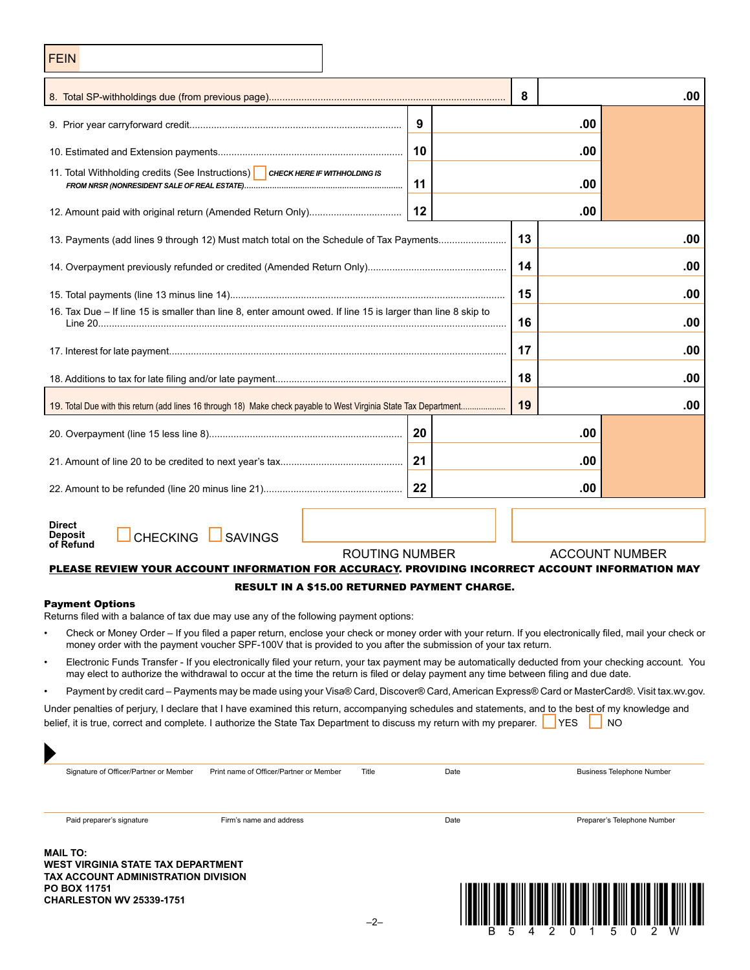| <b>FEIN</b>                                                                                                                                                                                                                                                                                               |                                                  |    |      |     |            |                                  |
|-----------------------------------------------------------------------------------------------------------------------------------------------------------------------------------------------------------------------------------------------------------------------------------------------------------|--------------------------------------------------|----|------|-----|------------|----------------------------------|
|                                                                                                                                                                                                                                                                                                           |                                                  |    |      | 8   |            | .00                              |
|                                                                                                                                                                                                                                                                                                           |                                                  | 9  |      |     | .00        |                                  |
|                                                                                                                                                                                                                                                                                                           |                                                  | 10 |      | .00 |            |                                  |
| 11. Total Withholding credits (See Instructions) CHECK HERE IF WITHHOLDING IS<br>11<br>.00                                                                                                                                                                                                                |                                                  |    |      |     |            |                                  |
|                                                                                                                                                                                                                                                                                                           |                                                  | 12 | .00  |     |            |                                  |
| 13. Payments (add lines 9 through 12) Must match total on the Schedule of Tax Payments                                                                                                                                                                                                                    |                                                  |    |      | 13  |            | .00                              |
|                                                                                                                                                                                                                                                                                                           |                                                  |    |      | 14  |            | .00                              |
|                                                                                                                                                                                                                                                                                                           |                                                  |    |      | 15  |            | .00                              |
| 16. Tax Due - If line 15 is smaller than line 8, enter amount owed. If line 15 is larger than line 8 skip to                                                                                                                                                                                              |                                                  |    |      | 16  |            | .00                              |
|                                                                                                                                                                                                                                                                                                           |                                                  |    |      | 17  |            | .00                              |
|                                                                                                                                                                                                                                                                                                           |                                                  |    |      |     |            | .00                              |
|                                                                                                                                                                                                                                                                                                           |                                                  |    |      | 19  |            | .00                              |
|                                                                                                                                                                                                                                                                                                           |                                                  | 20 |      |     | .00        |                                  |
|                                                                                                                                                                                                                                                                                                           |                                                  | 21 |      | .00 |            |                                  |
|                                                                                                                                                                                                                                                                                                           |                                                  | 22 |      |     | .00        |                                  |
| <b>Direct</b><br>CHECKING SAVINGS<br><b>Deposit</b><br>of Refund                                                                                                                                                                                                                                          |                                                  |    |      |     |            |                                  |
| PLEASE REVIEW YOUR ACCOUNT INFORMATION FOR ACCURACY. PROVIDING INCORRECT ACCOUNT INFORMATION MAY                                                                                                                                                                                                          | ROUTING NUMBER                                   |    |      |     |            | <b>ACCOUNT NUMBER</b>            |
| <b>Payment Options</b>                                                                                                                                                                                                                                                                                    | RESULT IN A \$15.00 RETURNED PAYMENT CHARGE.     |    |      |     |            |                                  |
| Returns filed with a balance of tax due may use any of the following payment options:                                                                                                                                                                                                                     |                                                  |    |      |     |            |                                  |
| Check or Money Order – If you filed a paper return, enclose your check or money order with your return. If you electronically filed, mail your check or<br>$\bullet$<br>money order with the payment voucher SPF-100V that is provided to you after the submission of your tax return.                    |                                                  |    |      |     |            |                                  |
| Electronic Funds Transfer - If you electronically filed your return, your tax payment may be automatically deducted from your checking account. You<br>$\bullet$<br>may elect to authorize the withdrawal to occur at the time the return is filed or delay payment any time between filing and due date. |                                                  |    |      |     |            |                                  |
| Payment by credit card - Payments may be made using your Visa® Card, Discover® Card, American Express® Card or MasterCard®. Visit tax.wv.gov.<br>$\bullet$                                                                                                                                                |                                                  |    |      |     |            |                                  |
| Under penalties of perjury, I declare that I have examined this return, accompanying schedules and statements, and to the best of my knowledge and<br>belief, it is true, correct and complete. I authorize the State Tax Department to discuss my return with my preparer.                               |                                                  |    |      |     | <b>YES</b> | NO                               |
| Signature of Officer/Partner or Member                                                                                                                                                                                                                                                                    | Print name of Officer/Partner or Member<br>Title |    | Date |     |            | <b>Business Telephone Number</b> |
| Paid preparer's signature<br>Firm's name and address                                                                                                                                                                                                                                                      |                                                  |    | Date |     |            | Preparer's Telephone Number      |

**Mail to: West Virginia State Tax Department Tax account administration division Po box 11751**

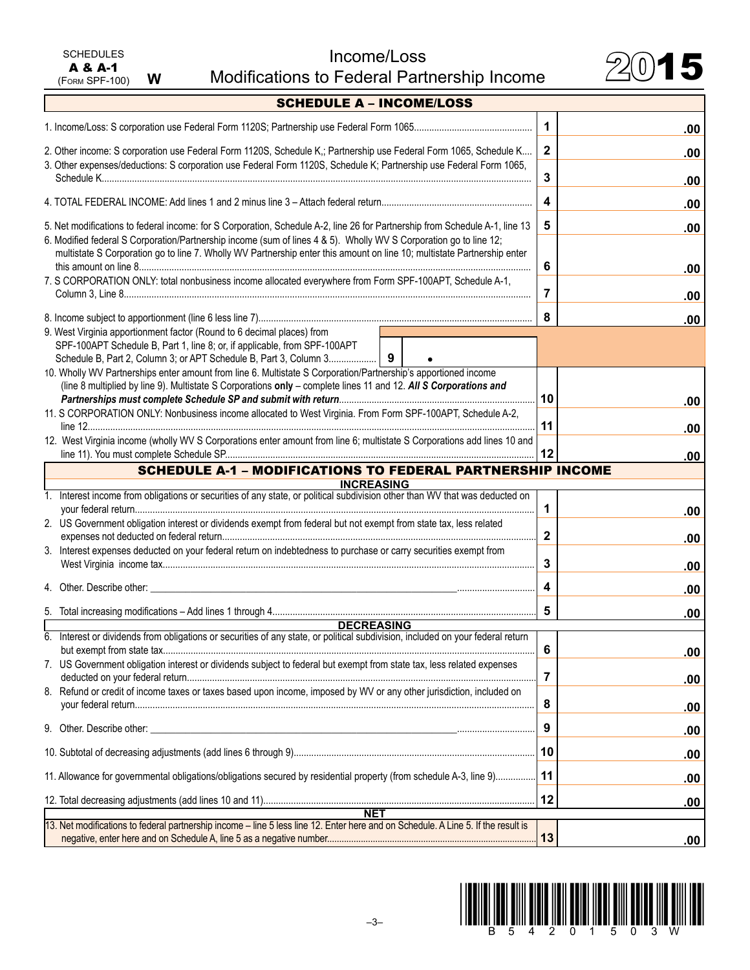| <b>SCHEDULES</b> |   |
|------------------|---|
| A & A-1          |   |
| (FORM SPF-100)   | w |

Income/Loss Income/Loss<br>Modifications to Federal Partnership Income 2015



| <b>SCHEDULE A - INCOME/LOSS</b>                                                                                                                                                                                                              |                     |
|----------------------------------------------------------------------------------------------------------------------------------------------------------------------------------------------------------------------------------------------|---------------------|
|                                                                                                                                                                                                                                              | $\mathbf 1$<br>.00  |
| 2. Other income: S corporation use Federal Form 1120S, Schedule K,; Partnership use Federal Form 1065, Schedule K                                                                                                                            | $\mathbf{2}$<br>.00 |
| 3. Other expenses/deductions: S corporation use Federal Form 1120S, Schedule K; Partnership use Federal Form 1065,                                                                                                                           | 3<br>.00            |
|                                                                                                                                                                                                                                              | 4<br>.00            |
| 5. Net modifications to federal income: for S Corporation, Schedule A-2, line 26 for Partnership from Schedule A-1, line 13                                                                                                                  | 5<br>.00            |
| 6. Modified federal S Corporation/Partnership income (sum of lines 4 & 5). Wholly WV S Corporation go to line 12;<br>multistate S Corporation go to line 7. Wholly WV Partnership enter this amount on line 10; multistate Partnership enter |                     |
| 7. S CORPORATION ONLY: total nonbusiness income allocated everywhere from Form SPF-100APT, Schedule A-1,                                                                                                                                     | 6<br>.00            |
|                                                                                                                                                                                                                                              | 7<br>.00            |
|                                                                                                                                                                                                                                              | 8<br>.00            |
| 9. West Virginia apportionment factor (Round to 6 decimal places) from<br>SPF-100APT Schedule B, Part 1, line 8; or, if applicable, from SPF-100APT                                                                                          |                     |
|                                                                                                                                                                                                                                              |                     |
| 10. Wholly WV Partnerships enter amount from line 6. Multistate S Corporation/Partnership's apportioned income                                                                                                                               |                     |
| (line 8 multiplied by line 9). Multistate S Corporations only - complete lines 11 and 12. All S Corporations and                                                                                                                             |                     |
|                                                                                                                                                                                                                                              | 10<br>.00           |
| 11. S CORPORATION ONLY: Nonbusiness income allocated to West Virginia. From Form SPF-100APT, Schedule A-2,                                                                                                                                   |                     |
|                                                                                                                                                                                                                                              | 11<br>.00           |
| 12. West Virginia income (wholly WV S Corporations enter amount from line 6; multistate S Corporations add lines 10 and                                                                                                                      | 12<br>.00           |
| <b>SCHEDULE A-1 - MODIFICATIONS TO FEDERAL PARTNERSHIP INCOME</b>                                                                                                                                                                            |                     |
| <b>INCREASING</b>                                                                                                                                                                                                                            |                     |
| 1. Interest income from obligations or securities of any state, or political subdivision other than WV that was deducted on                                                                                                                  | 1<br>.00            |
| 2. US Government obligation interest or dividends exempt from federal but not exempt from state tax, less related                                                                                                                            |                     |
|                                                                                                                                                                                                                                              | $\mathbf{2}$<br>.00 |
| 3. Interest expenses deducted on your federal return on indebtedness to purchase or carry securities exempt from                                                                                                                             | 3<br>.00            |
| 4. Other, Describe other:                                                                                                                                                                                                                    | 4<br>.00            |
|                                                                                                                                                                                                                                              | 5<br>.00            |
| <b>DECREASING</b>                                                                                                                                                                                                                            |                     |
| 6. Interest or dividends from obligations or securities of any state, or political subdivision, included on your federal return                                                                                                              |                     |
| 7. US Government obligation interest or dividends subject to federal but exempt from state tax, less related expenses                                                                                                                        | 6<br>.00            |
|                                                                                                                                                                                                                                              | 7<br>.00            |
| 8. Refund or credit of income taxes or taxes based upon income, imposed by WV or any other jurisdiction, included on                                                                                                                         | 8<br>.00            |
|                                                                                                                                                                                                                                              | 9<br>.00            |
|                                                                                                                                                                                                                                              | 10<br>.00           |
| 11. Allowance for governmental obligations/obligations secured by residential property (from schedule A-3, line 9)                                                                                                                           | 11<br>.00           |
|                                                                                                                                                                                                                                              | 12<br>.00           |
| <b>NET</b>                                                                                                                                                                                                                                   |                     |
| 13. Net modifications to federal partnership income - line 5 less line 12. Enter here and on Schedule. A Line 5. If the result is                                                                                                            |                     |
|                                                                                                                                                                                                                                              | 13<br>.00           |

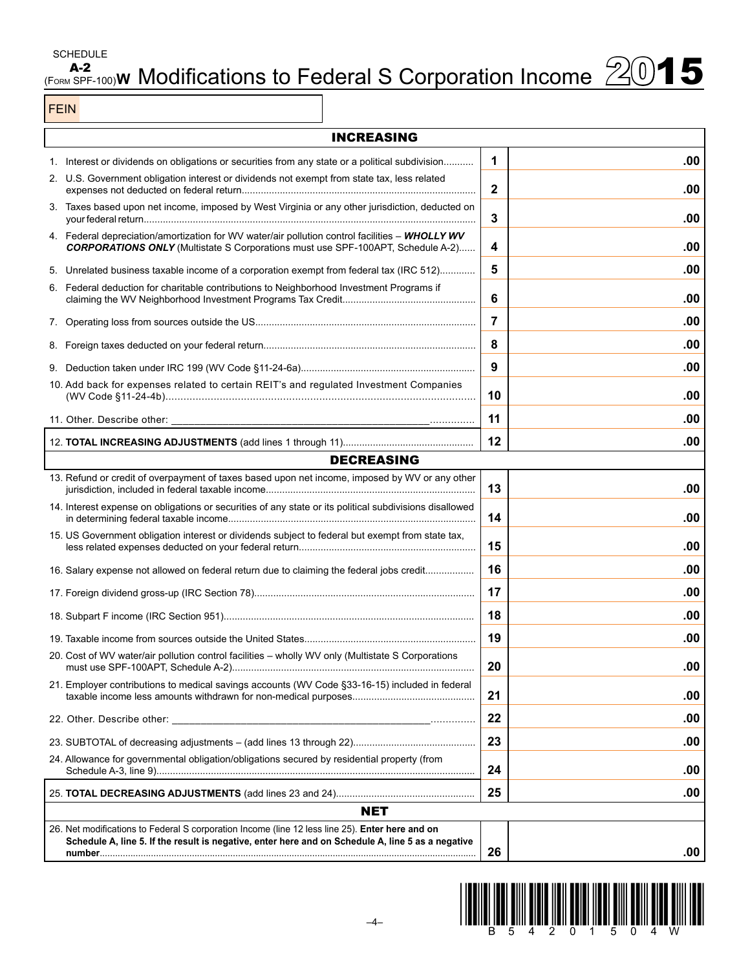**SCHEDULE** 

# $A-2$ <br>(Form SPF-100)**W** Modifications to Federal S Corporation Income  $2015$

FEIN

| <b>INCREASING</b>                                                                                                                                                                                    |             |     |
|------------------------------------------------------------------------------------------------------------------------------------------------------------------------------------------------------|-------------|-----|
| 1. Interest or dividends on obligations or securities from any state or a political subdivision                                                                                                      | 1           | .00 |
| 2. U.S. Government obligation interest or dividends not exempt from state tax, less related                                                                                                          | $\mathbf 2$ | .00 |
| 3. Taxes based upon net income, imposed by West Virginia or any other jurisdiction, deducted on                                                                                                      | 3           | .00 |
| 4. Federal depreciation/amortization for WV water/air pollution control facilities - WHOLLY WV<br><b>CORPORATIONS ONLY</b> (Multistate S Corporations must use SPF-100APT, Schedule A-2)             | 4           | .00 |
| 5. Unrelated business taxable income of a corporation exempt from federal tax (IRC 512)                                                                                                              | 5           | .00 |
| 6. Federal deduction for charitable contributions to Neighborhood Investment Programs if                                                                                                             | 6           | .00 |
|                                                                                                                                                                                                      | 7           | .00 |
|                                                                                                                                                                                                      | 8           | .00 |
|                                                                                                                                                                                                      | 9           | .00 |
| 10. Add back for expenses related to certain REIT's and regulated Investment Companies                                                                                                               | 10          | .00 |
| 11. Other. Describe other: _<br>and the contract of the contract of the contract of the contract of the contract of                                                                                  | 11          | .00 |
|                                                                                                                                                                                                      | 12          | .00 |
| <b>DECREASING</b>                                                                                                                                                                                    |             |     |
| 13. Refund or credit of overpayment of taxes based upon net income, imposed by WV or any other                                                                                                       | 13          | .00 |
| 14. Interest expense on obligations or securities of any state or its political subdivisions disallowed                                                                                              | 14          | .00 |
| 15. US Government obligation interest or dividends subject to federal but exempt from state tax,                                                                                                     | 15          | .00 |
| 16. Salary expense not allowed on federal return due to claiming the federal jobs credit                                                                                                             | 16          | .00 |
|                                                                                                                                                                                                      | 17          | .00 |
|                                                                                                                                                                                                      | 18          | .00 |
|                                                                                                                                                                                                      | 19          | .00 |
| 20. Cost of WV water/air pollution control facilities - wholly WV only (Multistate S Corporations                                                                                                    | 20          | .00 |
| 21. Employer contributions to medical savings accounts (WV Code §33-16-15) included in federal                                                                                                       | 21          | .00 |
| 22. Other. Describe other:                                                                                                                                                                           | 22          | .00 |
|                                                                                                                                                                                                      | 23          | .00 |
| 24. Allowance for governmental obligation/obligations secured by residential property (from                                                                                                          | 24          | .00 |
|                                                                                                                                                                                                      | 25          | .00 |
| <b>NET</b>                                                                                                                                                                                           |             |     |
| 26. Net modifications to Federal S corporation Income (line 12 less line 25). Enter here and on<br>Schedule A, line 5. If the result is negative, enter here and on Schedule A, line 5 as a negative | 26          | .00 |

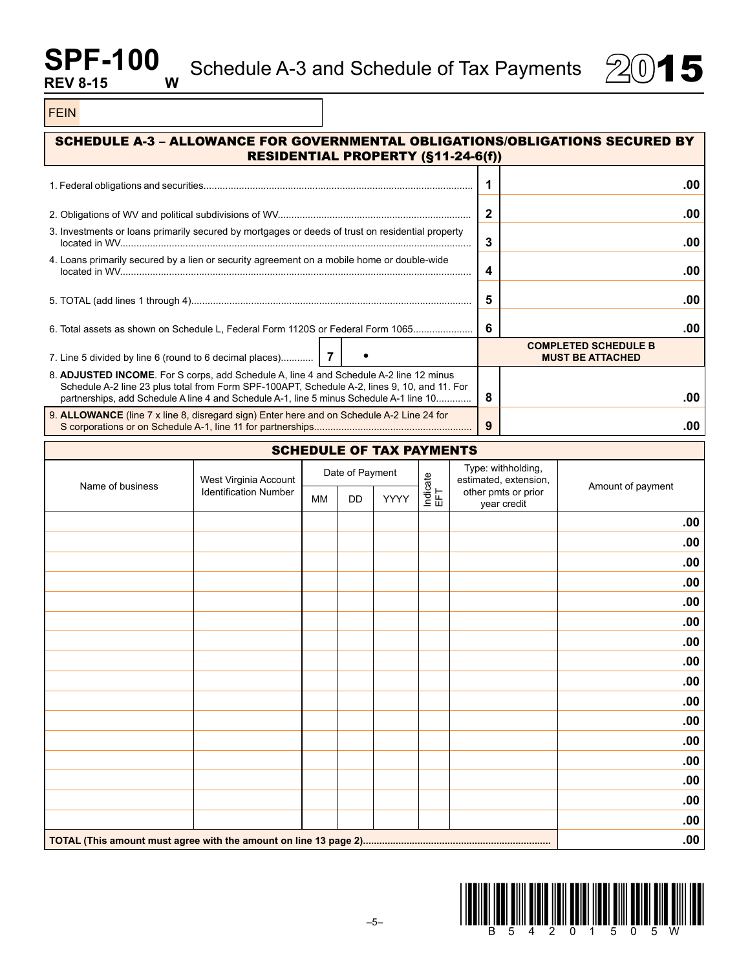# **SPF-100**<sub>W</sub> **REV 8-15**



FEIN

| SCHEDULE A-3 - ALLOWANCE FOR GOVERNMENTAL OBLIGATIONS/OBLIGATIONS SECURED BY                                                                                                                                                                                                      |                           | <b>RESIDENTIAL PROPERTY (§11-24-6(f))</b> |                     |                  |                                           |                                                        |     |
|-----------------------------------------------------------------------------------------------------------------------------------------------------------------------------------------------------------------------------------------------------------------------------------|---------------------------|-------------------------------------------|---------------------|------------------|-------------------------------------------|--------------------------------------------------------|-----|
|                                                                                                                                                                                                                                                                                   |                           |                                           |                     | 1                |                                           |                                                        | .00 |
|                                                                                                                                                                                                                                                                                   |                           |                                           |                     | $\boldsymbol{2}$ |                                           |                                                        | .00 |
| 3. Investments or loans primarily secured by mortgages or deeds of trust on residential property                                                                                                                                                                                  |                           |                                           |                     | 3                |                                           |                                                        | .00 |
| 4. Loans primarily secured by a lien or security agreement on a mobile home or double-wide                                                                                                                                                                                        |                           |                                           |                     | 4                |                                           |                                                        | .00 |
|                                                                                                                                                                                                                                                                                   |                           |                                           | 5                   |                  |                                           | .00                                                    |     |
| 6. Total assets as shown on Schedule L, Federal Form 1120S or Federal Form 1065                                                                                                                                                                                                   |                           |                                           |                     | 6                |                                           |                                                        | .00 |
| 7. Line 5 divided by line 6 (round to 6 decimal places)   7                                                                                                                                                                                                                       |                           |                                           |                     |                  |                                           | <b>COMPLETED SCHEDULE B</b><br><b>MUST BE ATTACHED</b> |     |
| 8. ADJUSTED INCOME. For S corps, add Schedule A, line 4 and Schedule A-2 line 12 minus<br>Schedule A-2 line 23 plus total from Form SPF-100APT, Schedule A-2, lines 9, 10, and 11. For<br>partnerships, add Schedule A line 4 and Schedule A-1, line 5 minus Schedule A-1 line 10 |                           |                                           |                     | 8                |                                           |                                                        | .00 |
| 9. ALLOWANCE (line 7 x line 8, disregard sign) Enter here and on Schedule A-2 Line 24 for                                                                                                                                                                                         |                           |                                           | 9                   |                  |                                           | .00                                                    |     |
| <b>SCHEDULE OF TAX PAYMENTS</b>                                                                                                                                                                                                                                                   |                           |                                           |                     |                  |                                           |                                                        |     |
|                                                                                                                                                                                                                                                                                   | $M \cdot 1$ $\frac{1}{2}$ | Date of Payment                           | $\overline{\omega}$ |                  | Type: withholding,<br>cotimpted putanojan |                                                        |     |

|                  | West Virginia Account        | Date of Payment |    |             |                        | Type: withholding,<br>estimated, extension, |                   |
|------------------|------------------------------|-----------------|----|-------------|------------------------|---------------------------------------------|-------------------|
| Name of business | <b>Identification Number</b> | <b>MM</b>       | DD | <b>YYYY</b> | Indicate<br>EFT<br>EFT | other pmts or prior<br>year credit          | Amount of payment |
|                  |                              |                 |    |             |                        |                                             | .00               |
|                  |                              |                 |    |             |                        |                                             | .00               |
|                  |                              |                 |    |             |                        |                                             | .00               |
|                  |                              |                 |    |             |                        |                                             | .00               |
|                  |                              |                 |    |             |                        |                                             | .00               |
|                  |                              |                 |    |             |                        |                                             | .00               |
|                  |                              |                 |    |             |                        |                                             | .00               |
|                  |                              |                 |    |             |                        |                                             | .00               |
|                  |                              |                 |    |             |                        |                                             | .00               |
|                  |                              |                 |    |             |                        |                                             | .00               |
|                  |                              |                 |    |             |                        |                                             | .00               |
|                  |                              |                 |    |             |                        |                                             | .00               |
|                  |                              |                 |    |             |                        |                                             | .00               |
|                  |                              |                 |    |             |                        |                                             | .00               |
|                  |                              |                 |    |             |                        |                                             | .00               |
|                  |                              |                 |    |             |                        |                                             | .00               |
|                  |                              |                 |    |             |                        | .00                                         |                   |

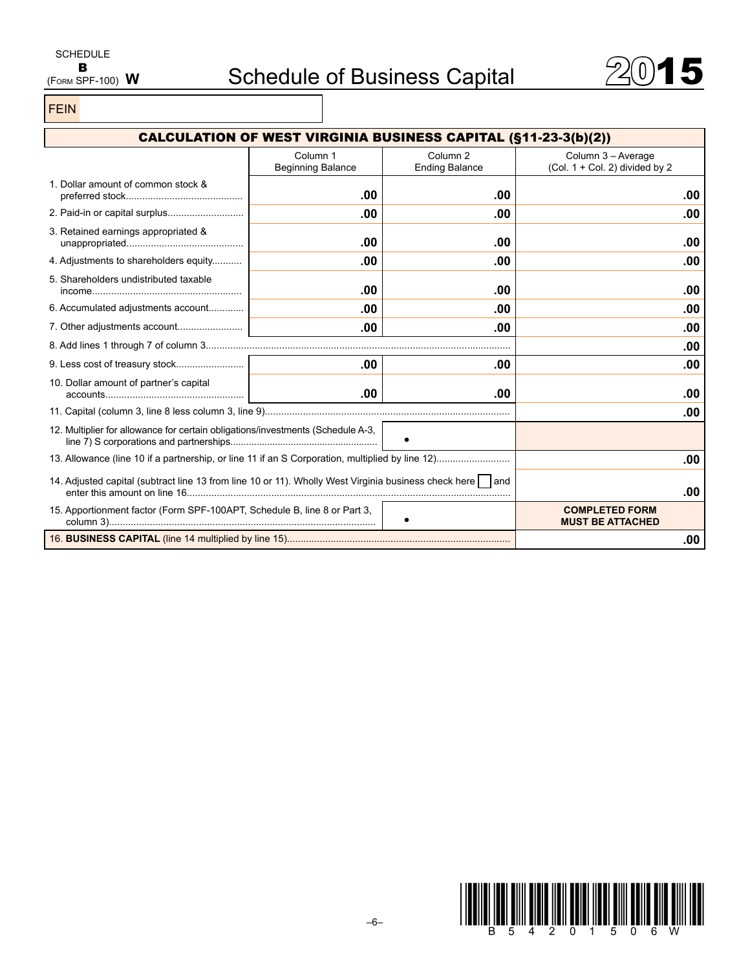

FEIN

| <b>CALCULATION OF WEST VIRGINIA BUSINESS CAPITAL (§11-23-3(b)(2))</b>                                      |                                      |                                              |                                                      |     |  |
|------------------------------------------------------------------------------------------------------------|--------------------------------------|----------------------------------------------|------------------------------------------------------|-----|--|
|                                                                                                            | Column 1<br><b>Beginning Balance</b> | Column <sub>2</sub><br><b>Ending Balance</b> | Column 3 - Average<br>(Col. 1 + Col. 2) divided by 2 |     |  |
| 1. Dollar amount of common stock &                                                                         | .00                                  | .00                                          |                                                      | .00 |  |
|                                                                                                            | .00                                  | .00                                          |                                                      | .00 |  |
| 3. Retained earnings appropriated &                                                                        | .00                                  | .00                                          |                                                      | .00 |  |
| 4. Adjustments to shareholders equity                                                                      | .00                                  | .00                                          |                                                      | .00 |  |
| 5. Shareholders undistributed taxable                                                                      | .00                                  | .00                                          |                                                      | .00 |  |
| 6. Accumulated adjustments account                                                                         | .00                                  | .00                                          |                                                      | .00 |  |
|                                                                                                            | .00                                  | .00                                          |                                                      | .00 |  |
|                                                                                                            |                                      |                                              |                                                      | .00 |  |
|                                                                                                            | .00                                  | .00                                          |                                                      | .00 |  |
| 10. Dollar amount of partner's capital                                                                     | $.00 \,$                             | .00                                          |                                                      | .00 |  |
|                                                                                                            |                                      |                                              |                                                      | .00 |  |
| 12. Multiplier for allowance for certain obligations/investments (Schedule A-3,<br>$\bullet$               |                                      |                                              |                                                      |     |  |
|                                                                                                            |                                      |                                              |                                                      | .00 |  |
| 14. Adjusted capital (subtract line 13 from line 10 or 11). Wholly West Virginia business check here   and |                                      | .00                                          |                                                      |     |  |
| 15. Apportionment factor (Form SPF-100APT, Schedule B, line 8 or Part 3,                                   |                                      |                                              | <b>COMPLETED FORM</b><br><b>MUST BE ATTACHED</b>     |     |  |
|                                                                                                            |                                      |                                              | .00                                                  |     |  |

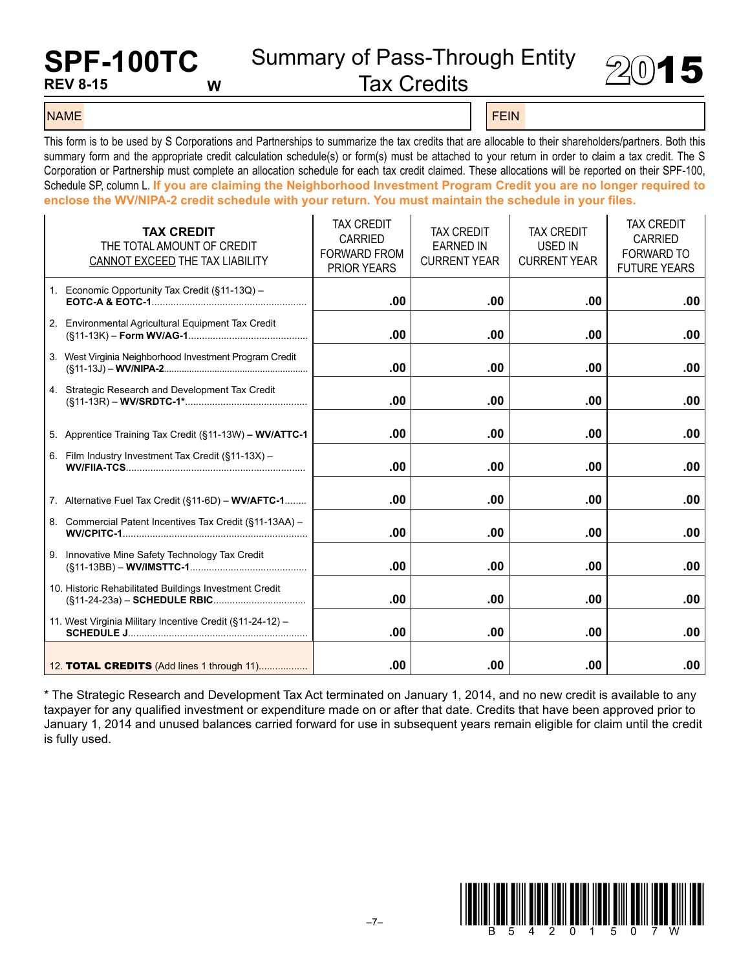# **SPF-100TC REV 8-15 W**

Summary of Pass-Through Entity<br>Tax Credits



#### name Felix and the second control of the second control of the second control of the second control of the second control of the second control of the second control of the second control of the second control of the secon

This form is to be used by S Corporations and Partnerships to summarize the tax credits that are allocable to their shareholders/partners. Both this summary form and the appropriate credit calculation schedule(s) or form(s) must be attached to your return in order to claim a tax credit. The S Corporation or Partnership must complete an allocation schedule for each tax credit claimed. These allocations will be reported on their SPF-100, Schedule SP, column L. **If you are claiming the Neighborhood Investment Program Credit you are no longer required to enclose the WV/NIPA-2 credit schedule with your return. You must maintain the schedule in your files.**

| <b>TAX CREDIT</b><br>THE TOTAL AMOUNT OF CREDIT<br>CANNOT EXCEED THE TAX LIABILITY | <b>TAX CREDIT</b><br>CARRIED<br><b>FORWARD FROM</b><br><b>PRIOR YEARS</b> | <b>TAX CREDIT</b><br><b>EARNED IN</b><br><b>CURRENT YEAR</b> | <b>TAX CREDIT</b><br><b>USED IN</b><br><b>CURRENT YEAR</b> | <b>TAX CREDIT</b><br>CARRIED<br><b>FORWARD TO</b><br><b>FUTURE YEARS</b> |
|------------------------------------------------------------------------------------|---------------------------------------------------------------------------|--------------------------------------------------------------|------------------------------------------------------------|--------------------------------------------------------------------------|
| 1. Economic Opportunity Tax Credit (§11-13Q) -                                     | .00                                                                       | .00                                                          | .00                                                        | .00                                                                      |
| 2. Environmental Agricultural Equipment Tax Credit                                 | .00                                                                       | .00                                                          | .00                                                        | .00                                                                      |
| 3. West Virginia Neighborhood Investment Program Credit                            | .00                                                                       | .00.                                                         | .00                                                        | .00                                                                      |
| 4. Strategic Research and Development Tax Credit                                   | .00                                                                       | .00                                                          | .00                                                        | .00                                                                      |
| 5. Apprentice Training Tax Credit (§11-13W) - WV/ATTC-1                            | .00                                                                       | .00                                                          | .00                                                        | .00                                                                      |
| 6. Film Industry Investment Tax Credit (§11-13X) -                                 | .00                                                                       | .00                                                          | .00                                                        | .00                                                                      |
| 7. Alternative Fuel Tax Credit (§11-6D) - WV/AFTC-1                                | $.00 \,$                                                                  | $.00 \,$                                                     | .00                                                        | .00                                                                      |
| 8. Commercial Patent Incentives Tax Credit (§11-13AA) -                            | .00                                                                       | .00                                                          | .00                                                        | .00                                                                      |
| 9. Innovative Mine Safety Technology Tax Credit                                    | .00                                                                       | .00                                                          | .00                                                        | .00                                                                      |
| 10. Historic Rehabilitated Buildings Investment Credit                             | .00                                                                       | .00                                                          | .00                                                        | .00                                                                      |
| 11. West Virginia Military Incentive Credit (§11-24-12) -                          | .00                                                                       | .00                                                          | .00                                                        | .00                                                                      |
| 12. <b>TOTAL CREDITS</b> (Add lines 1 through 11)                                  | .00                                                                       | .00.                                                         | .00                                                        | .00                                                                      |

\* The Strategic Research and Development Tax Act terminated on January 1, 2014, and no new credit is available to any taxpayer for any qualified investment or expenditure made on or after that date. Credits that have been approved prior to January 1, 2014 and unused balances carried forward for use in subsequent years remain eligible for claim until the credit is fully used.

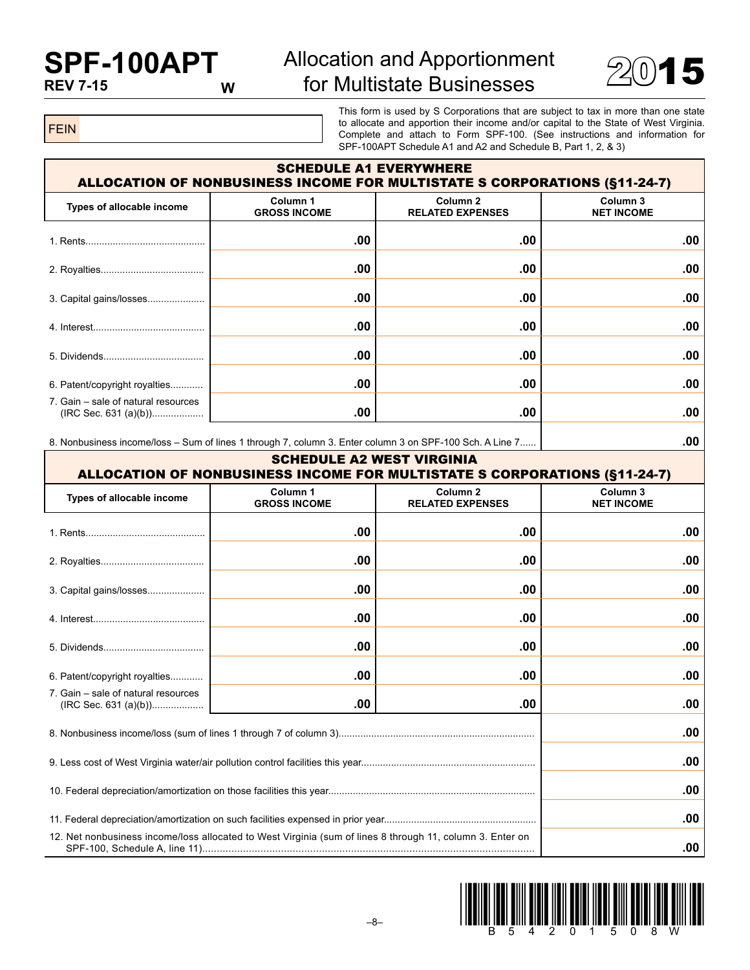# **SPF-100APT REV 7-15**

# Allocation and Apportionment  $\frac{10}{2015}$  for Multistate Businesses  $\frac{2015}{2015}$



FEIN

This form is used by S Corporations that are subject to tax in more than one state to allocate and apportion their income and/or capital to the State of West Virginia. Complete and attach to Form SPF-100. (See instructions and information for SPF-100APT Schedule A1 and A2 and Schedule B, Part 1, 2, & 3)

| <b>SCHEDULE A1 EVERYWHERE</b><br><b>ALLOCATION OF NONBUSINESS INCOME FOR MULTISTATE S CORPORATIONS (§11-24-7)</b> |                                 |                                                |                               |  |
|-------------------------------------------------------------------------------------------------------------------|---------------------------------|------------------------------------------------|-------------------------------|--|
| Types of allocable income                                                                                         | Column 1<br><b>GROSS INCOME</b> | Column <sub>2</sub><br><b>RELATED EXPENSES</b> | Column 3<br><b>NET INCOME</b> |  |
|                                                                                                                   | .00                             | .00                                            | .00                           |  |
|                                                                                                                   | $.00 \,$                        | .00                                            | .00.                          |  |
|                                                                                                                   | .00                             | .00                                            | .00                           |  |
|                                                                                                                   | .00                             | .00                                            | .00.                          |  |
| 5. Dividends                                                                                                      | .00                             | .00                                            | .00.                          |  |
| 6. Patent/copyright royalties                                                                                     | .00                             | .00                                            | .00.                          |  |
| 7. Gain – sale of natural resources<br>$(IRC Sec. 631 (a)(b))$                                                    | .00                             | .00                                            | .00                           |  |

8. Nonbusiness income/loss – Sum of lines 1 through 7, column 3. Enter column 3 on SPF-100 Sch. A Line 7...... **.00**

| <b>SCHEDULE A2 WEST VIRGINIA</b><br><b>ALLOCATION OF NONBUSINESS INCOME FOR MULTISTATE S CORPORATIONS (§11-24-7)</b> |                                 |                                                |                                          |  |
|----------------------------------------------------------------------------------------------------------------------|---------------------------------|------------------------------------------------|------------------------------------------|--|
| Types of allocable income                                                                                            | Column 1<br><b>GROSS INCOME</b> | Column <sub>2</sub><br><b>RELATED EXPENSES</b> | Column <sub>3</sub><br><b>NET INCOME</b> |  |
|                                                                                                                      | .00                             | .00                                            | .00                                      |  |
|                                                                                                                      | .00                             | .00                                            | .00                                      |  |
| 3. Capital gains/losses                                                                                              | .00                             | .00                                            | .00                                      |  |
|                                                                                                                      | .00                             | .00                                            | .00                                      |  |
|                                                                                                                      | .00                             | .00                                            | .00                                      |  |
| 6. Patent/copyright royalties                                                                                        | .00                             | .00                                            | .00                                      |  |
| 7. Gain – sale of natural resources<br>$(IRC Sec. 631 (a)(b))$                                                       | .00                             | .00                                            | .00                                      |  |
|                                                                                                                      |                                 |                                                | .00                                      |  |
|                                                                                                                      | .00                             |                                                |                                          |  |
|                                                                                                                      |                                 |                                                | .00                                      |  |
|                                                                                                                      | .00                             |                                                |                                          |  |
| 12. Net nonbusiness income/loss allocated to West Virginia (sum of lines 8 through 11, column 3. Enter on            |                                 |                                                |                                          |  |

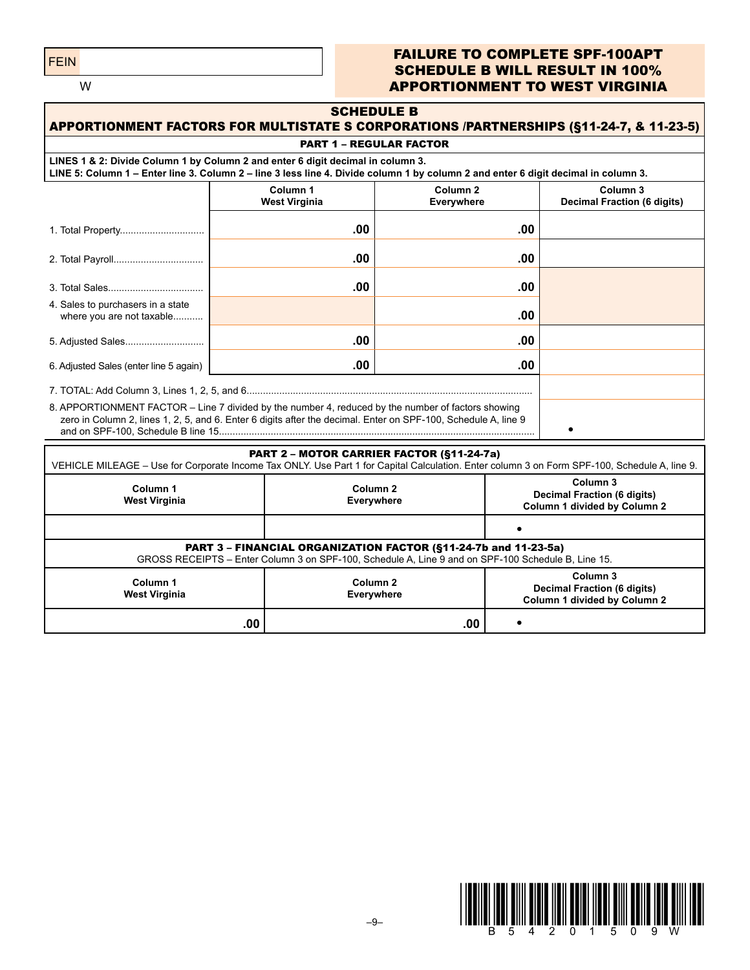FEIN

#### FAILURE TO COMPLETE SPF-100APT SCHEDULE B WILL RESULT IN 100% APPORTIONMENT TO WEST VIRGINIA

| <b>SCHEDULE B</b><br><b>APPORTIONMENT FACTORS FOR MULTISTATE S CORPORATIONS /PARTNERSHIPS (§11-24-7, &amp; 11-23-5)</b>                                                                                                           |                                   |                                                           |                                                                                           |                                                                                |  |  |  |  |
|-----------------------------------------------------------------------------------------------------------------------------------------------------------------------------------------------------------------------------------|-----------------------------------|-----------------------------------------------------------|-------------------------------------------------------------------------------------------|--------------------------------------------------------------------------------|--|--|--|--|
| <b>PART 1 - REGULAR FACTOR</b>                                                                                                                                                                                                    |                                   |                                                           |                                                                                           |                                                                                |  |  |  |  |
| LINES 1 & 2: Divide Column 1 by Column 2 and enter 6 digit decimal in column 3.<br>LINE 5: Column 1 - Enter line 3. Column 2 - line 3 less line 4. Divide column 1 by column 2 and enter 6 digit decimal in column 3.             |                                   |                                                           |                                                                                           |                                                                                |  |  |  |  |
|                                                                                                                                                                                                                                   | Everywhere                        | Column <sub>3</sub><br><b>Decimal Fraction (6 digits)</b> |                                                                                           |                                                                                |  |  |  |  |
|                                                                                                                                                                                                                                   | .00                               |                                                           | .00                                                                                       |                                                                                |  |  |  |  |
|                                                                                                                                                                                                                                   | .00                               |                                                           | .00                                                                                       |                                                                                |  |  |  |  |
|                                                                                                                                                                                                                                   | .00                               |                                                           | .00                                                                                       |                                                                                |  |  |  |  |
| 4. Sales to purchasers in a state<br>where you are not taxable                                                                                                                                                                    |                                   |                                                           | .00                                                                                       |                                                                                |  |  |  |  |
| 5. Adjusted Sales                                                                                                                                                                                                                 | .00                               |                                                           | .00                                                                                       |                                                                                |  |  |  |  |
| 6. Adjusted Sales (enter line 5 again)                                                                                                                                                                                            | .00                               |                                                           | .00                                                                                       |                                                                                |  |  |  |  |
|                                                                                                                                                                                                                                   |                                   |                                                           |                                                                                           |                                                                                |  |  |  |  |
| 8. APPORTIONMENT FACTOR - Line 7 divided by the number 4, reduced by the number of factors showing<br>zero in Column 2, lines 1, 2, 5, and 6. Enter 6 digits after the decimal. Enter on SPF-100, Schedule A, line 9<br>$\bullet$ |                                   |                                                           |                                                                                           |                                                                                |  |  |  |  |
| PART 2 - MOTOR CARRIER FACTOR (§11-24-7a)                                                                                                                                                                                         |                                   |                                                           |                                                                                           |                                                                                |  |  |  |  |
| VEHICLE MILEAGE - Use for Corporate Income Tax ONLY. Use Part 1 for Capital Calculation. Enter column 3 on Form SPF-100, Schedule A, line 9.                                                                                      |                                   |                                                           |                                                                                           |                                                                                |  |  |  |  |
| Column 1<br><b>West Virginia</b>                                                                                                                                                                                                  |                                   | Column <sub>2</sub><br>Everywhere                         |                                                                                           | Column 3<br><b>Decimal Fraction (6 digits)</b><br>Column 1 divided by Column 2 |  |  |  |  |
|                                                                                                                                                                                                                                   |                                   |                                                           |                                                                                           | $\bullet$                                                                      |  |  |  |  |
| PART 3 - FINANCIAL ORGANIZATION FACTOR (§11-24-7b and 11-23-5a)<br>GROSS RECEIPTS - Enter Column 3 on SPF-100, Schedule A, Line 9 and on SPF-100 Schedule B, Line 15.                                                             |                                   |                                                           |                                                                                           |                                                                                |  |  |  |  |
| Column 1<br><b>West Virginia</b>                                                                                                                                                                                                  | Column <sub>2</sub><br>Everywhere |                                                           | Column <sub>3</sub><br><b>Decimal Fraction (6 digits)</b><br>Column 1 divided by Column 2 |                                                                                |  |  |  |  |
| .00<br>.00<br>$\bullet$                                                                                                                                                                                                           |                                   |                                                           |                                                                                           |                                                                                |  |  |  |  |

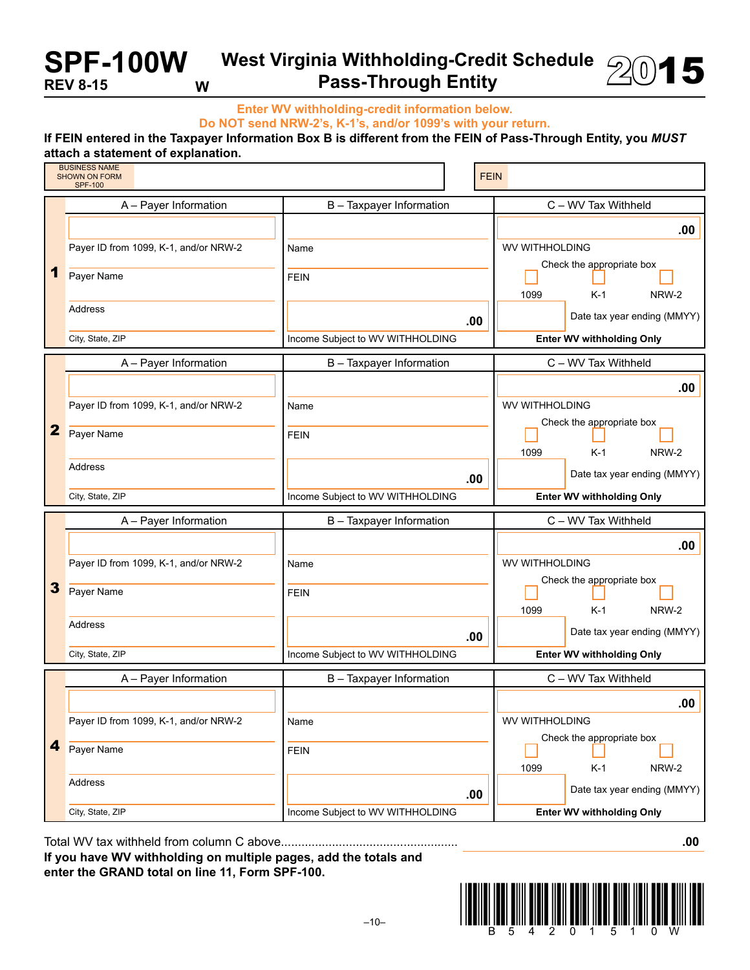**SPF-100W REV 8-15 W**

## **West Virginia Withholding-Credit Schedule**   $\frac{1}{201}$  Pass-Through Entity

**Enter WV withholding-credit information below.**

**Do NOT send NRW-2's, K-1's, and/or 1099's with your return.**

#### **If FEIN entered in the Taxpayer Information Box B is different from the FEIN of Pass-Through Entity, you** *MUST* **attach a statement of explanation.**

|   | <b>BUSINESS NAME</b><br><b>SHOWN ON FORM</b><br><b>SPF-100</b> |                                  | <b>FEIN</b>                      |  |  |
|---|----------------------------------------------------------------|----------------------------------|----------------------------------|--|--|
|   | A - Payer Information                                          | B - Taxpayer Information         | C - WV Tax Withheld              |  |  |
|   |                                                                |                                  | .00                              |  |  |
|   | Payer ID from 1099, K-1, and/or NRW-2                          | Name                             | WV WITHHOLDING                   |  |  |
| 1 | Payer Name                                                     | <b>FEIN</b>                      | Check the appropriate box        |  |  |
|   |                                                                |                                  | 1099<br>$K-1$<br>NRW-2           |  |  |
|   | Address                                                        | .00                              | Date tax year ending (MMYY)      |  |  |
|   | City, State, ZIP                                               | Income Subject to WV WITHHOLDING | <b>Enter WV withholding Only</b> |  |  |
|   | A - Payer Information                                          | B - Taxpayer Information         | C - WV Tax Withheld              |  |  |
|   |                                                                |                                  | .00                              |  |  |
|   | Payer ID from 1099, K-1, and/or NRW-2                          | Name                             | WV WITHHOLDING                   |  |  |
| 2 | Payer Name                                                     | <b>FEIN</b>                      | Check the appropriate box        |  |  |
|   |                                                                |                                  | 1099<br>$K-1$<br>NRW-2           |  |  |
|   | <b>Address</b>                                                 | .00                              | Date tax year ending (MMYY)      |  |  |
|   |                                                                |                                  |                                  |  |  |
|   | City, State, ZIP                                               | Income Subject to WV WITHHOLDING | <b>Enter WV withholding Only</b> |  |  |
|   | A - Payer Information                                          | B - Taxpayer Information         | C - WV Tax Withheld              |  |  |
|   |                                                                |                                  | .00                              |  |  |
|   | Payer ID from 1099, K-1, and/or NRW-2                          | Name                             | WV WITHHOLDING                   |  |  |
| 3 | Payer Name                                                     | <b>FEIN</b>                      | Check the appropriate box        |  |  |
|   |                                                                |                                  | 1099<br>$K-1$<br>NRW-2           |  |  |
|   | Address                                                        | .00                              | Date tax year ending (MMYY)      |  |  |
|   | City, State, ZIP                                               | Income Subject to WV WITHHOLDING | <b>Enter WV withholding Only</b> |  |  |
|   | A - Payer Information                                          | B - Taxpayer Information         | C - WV Tax Withheld              |  |  |
|   |                                                                |                                  | .00                              |  |  |
|   | Payer ID from 1099, K-1, and/or NRW-2                          | Name                             | <b>WV WITHHOLDING</b>            |  |  |
| 4 | Payer Name                                                     | <b>FEIN</b>                      | Check the appropriate box        |  |  |
|   |                                                                |                                  | 1099<br>$K-1$<br>NRW-2           |  |  |
|   | Address                                                        | .00                              | Date tax year ending (MMYY)      |  |  |

Total WV tax withheld from column C above.................................................... **.00**

**If you have WV withholding on multiple pages, add the totals and enter the GRAND total on line 11, Form SPF-100.**



 $-10-$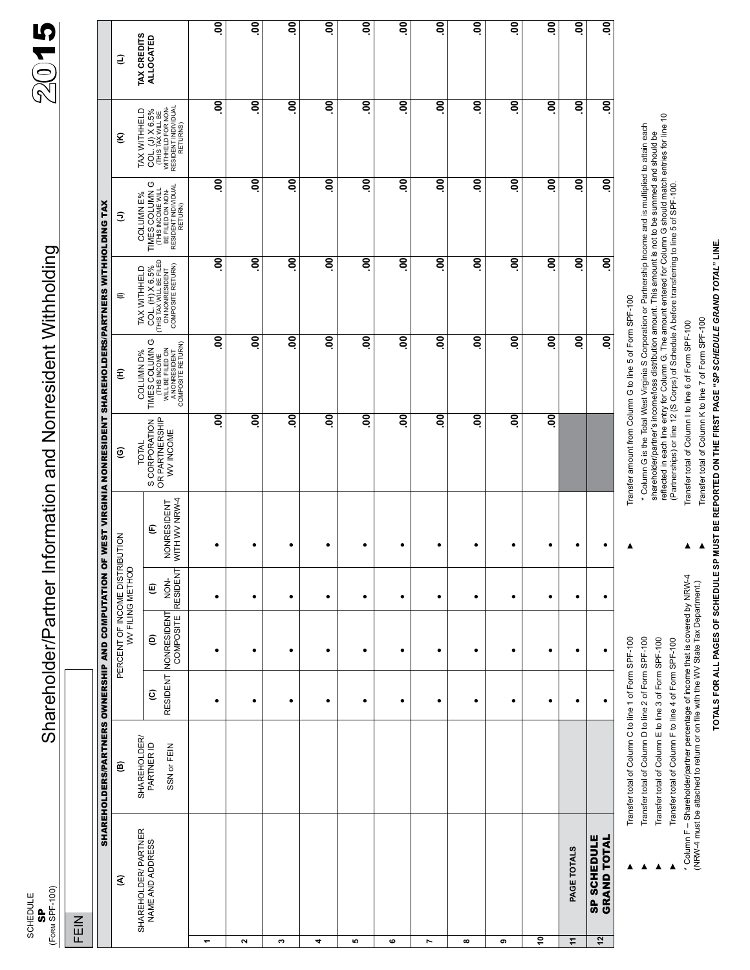(FORM SPF-100) SCHEDULE<br>SP Schedule

FEIN

 $\mathbf{s}_{\mathsf{F}_\mathsf{newSPE-1000}}$  Shareholder/Partner Information and Nonresident Withholding  $200$  15 Shareholder/Partner Information and Nonresident Withholding

|                         |                                          | <b>SHAREHOLDERS/PARTNERS OWNERSHIP AND COMPUTATION</b> |                                    |                                              |                                        |                                   | OF WEST VIRGINIA NONRESIDENT SHAREHOLDERS/PARTNERS WITHHOLDING TAX |                         |                                                                                                                                                             |                                                                                                         |                                                                                          |                                        |
|-------------------------|------------------------------------------|--------------------------------------------------------|------------------------------------|----------------------------------------------|----------------------------------------|-----------------------------------|--------------------------------------------------------------------|-------------------------|-------------------------------------------------------------------------------------------------------------------------------------------------------------|---------------------------------------------------------------------------------------------------------|------------------------------------------------------------------------------------------|----------------------------------------|
|                         | €                                        | ©                                                      |                                    | PERCENT OF INCOME DISTRI<br>WV FILING METHOD |                                        | RIBUTION                          | ៙                                                                  | £                       | ∊                                                                                                                                                           | Ξ                                                                                                       | ξ                                                                                        | Э                                      |
|                         | SHAREHOLDER/ PARTNER<br>NAME AND ADDRESS | SHAREHOLDER/<br>PARTNER ID<br>SSN or FEIN              | RESIDENT<br>$\widehat{\mathbf{c}}$ | NONRESIDENT<br>ê                             | ⊢<br>RESIDEN <sup>-</sup><br>NON-<br>© | WITH WV NRW-4<br>NONRESIDENT<br>E | S CORPORATION<br>OR PARTNERSHIP<br>WV INCOME<br><b>TOTAL</b>       | O<br>COLUMN D%          | $\begin{array}{c} \text{COL. (H) X 6.5\%} \\ \text{CHIS TAX WILL BE FILED} \\ \text{ON NOMRESDENT} \\ \text{COMPOSITE RETURN)} \end{array}$<br>TAX WITHHELD | TIMES COLUMN G<br>(THIS INCOME WILL<br>BE FILED ON NON-<br>BE SIDENT INDIVIDUAL<br>COLUMN E%<br>RETURN) | TAX WITHHELD<br>COL. (J) X 6.5%<br>CTHIS TAX WILL BE<br>WITHHELD FOR NON-<br>RESIDENCIAL | <b>TAX CREDITS</b><br><b>ALLOCATED</b> |
| ۳                       |                                          |                                                        | ٠                                  | ٠                                            | ٠                                      | ٠                                 | 8                                                                  | g                       | $\overline{6}$                                                                                                                                              | $\overline{\mathsf{S}}$                                                                                 | $\overline{\mathsf{S}}$                                                                  | <u>ခ</u>                               |
| $\overline{\mathbf{c}}$ |                                          |                                                        | $\bullet$                          | $\bullet$                                    | $\bullet$                              | $\bullet$                         | 8                                                                  | 8                       | S.                                                                                                                                                          | 8ò                                                                                                      | $\overline{\mathsf{S}}$                                                                  | ຸຣ                                     |
| c                       |                                          |                                                        | $\bullet$                          | $\bullet$                                    | $\bullet$                              | $\bullet$                         | Sō                                                                 | 8                       | 8ġ                                                                                                                                                          | 8ò                                                                                                      | δò                                                                                       | ຸຣ                                     |
| 4                       |                                          |                                                        | $\bullet$                          | $\bullet$                                    | $\bullet$                              | $\bullet$                         | 8                                                                  | 8                       | 8ġ                                                                                                                                                          | $\overline{\mathsf{S}}$                                                                                 | $\overline{\mathsf{S}}$                                                                  | ຸຣ                                     |
| ю                       |                                          |                                                        | ٠                                  | $\bullet$                                    | $\bullet$                              | ٠                                 | 8                                                                  | $\overline{\mathsf{S}}$ | 8.                                                                                                                                                          | gò                                                                                                      | $\overline{\mathsf{S}}$                                                                  | ຸຣ                                     |
| ဖ                       |                                          |                                                        | $\bullet$                          | $\bullet$                                    | $\bullet$                              | $\bullet$                         | $\overline{6}$                                                     | 8ò                      | S.                                                                                                                                                          | 8Ċ                                                                                                      | gò                                                                                       | ຸຣຸ                                    |
| Ľ                       |                                          |                                                        | $\bullet$                          | $\bullet$                                    | $\bullet$                              | $\bullet$                         | S.                                                                 | 8                       | 8ġ                                                                                                                                                          | gò                                                                                                      | $\overline{\mathsf{e}}$                                                                  | ຸຣ                                     |
| $\infty$                |                                          |                                                        | ٠                                  | ٠                                            | ٠                                      | $\bullet$                         | S.                                                                 | 8                       | 8Ċ                                                                                                                                                          | 8ò                                                                                                      | Θò                                                                                       | ຸຣ                                     |
| თ                       |                                          |                                                        | $\bullet$                          | $\bullet$                                    | $\bullet$                              | ٠                                 | 8                                                                  | 8                       | S.                                                                                                                                                          | gö                                                                                                      | gö                                                                                       | ຸຣ                                     |
| ੰ                       |                                          |                                                        | ٠                                  | $\bullet$                                    | $\bullet$                              | $\bullet$                         | OO.                                                                | 8ò                      | Sò                                                                                                                                                          | 8.                                                                                                      | $\overline{\mathsf{e}}$                                                                  | ຸຣ                                     |
| ÷                       | PAGE TOTALS                              |                                                        | $\bullet$                          | $\bullet$                                    | $\bullet$                              | ٠                                 |                                                                    | 8                       | 8                                                                                                                                                           | $\overline{\mathsf{S}}$                                                                                 | $\overline{\mathsf{S}}$                                                                  | ຸຣ                                     |
| $\overline{2}$          | <b>SP SCHEDULE</b><br><b>GRAND TOTAL</b> |                                                        | ٠                                  | $\bullet$                                    | $\bullet$                              | ٠                                 |                                                                    | 8ġ                      | 8.                                                                                                                                                          | 8ò                                                                                                      | ŝ                                                                                        | ຸຣ                                     |
|                         |                                          |                                                        |                                    |                                              |                                        |                                   |                                                                    |                         |                                                                                                                                                             |                                                                                                         |                                                                                          |                                        |

# TOTALS FOR ALL PAGES OF SCHEDULE SP MUST BE REPORTED ON THE FIRST PAGE "SP SCHEDULE GRAND TOTAL" LINE. **Totals for all pages of schedule SP must be reported on the first page "***Sp schedule grand total***" line.**

Transfer total of Column K to line 7 of Form SPF-100 **Transfer total of Column K to line 7 of Form SPF-100** Transfer total of Column I to line 6 of Form SPF-100 Transfer total of Column I to line 6 of Form SPF-100

►

►

(Partnerships) or line 12 (S Corps) of Schedule A before transferring to line 5 of SPF-100.

\* Column F – Shareholder/partner percentage of income that is covered by NRW-4<br>(NRW-4 must be attached to return or on file with the WV State Tax Department.) (NRW-4 must be attached to return or on file with the WV State Tax Department.)

\* Column F – Shareholder/partner percentage of income that is covered by NRW-4

Transfer total of Column F to line 4 of Form SPF-100 **Transfer total of Column F to line 4 of Form SPF-100** ►

Transfer total of Column E to line 3 of Form SPF-100 **Transfer total of Column E to line 3 of Form SPF-100** 

Transfer total of Column D to line 2 of Form SPF-100 **Transfer total of Column D to line 2 of Form SPF-100** 

►

►

►

Transfer total of Column C to line 1 of Form SPF-100 **Transfer total of Column C to line 1 of Form SPF-100** 

►

Transfer amount from Column G to line 5 of Form SPF-100 Transfer amount from Column G to line 5 of Form SPF-100

\* Column G is the Total West Virginia S Corporation or Partnership Income and is multiplied to attain each<br>shareholder/partner's income/loss distribution amount. This amount is not to be summed and should be<br>reflected in e \* Column G is the Total West Virginia S Corporation or Partnership Income and is multiplied to attain each shareholder/partner's income/loss distribution amount. This amount is not to be summed and should be

reflected in each line entry for Column G. The amount entered for Column G should match entries for line 10